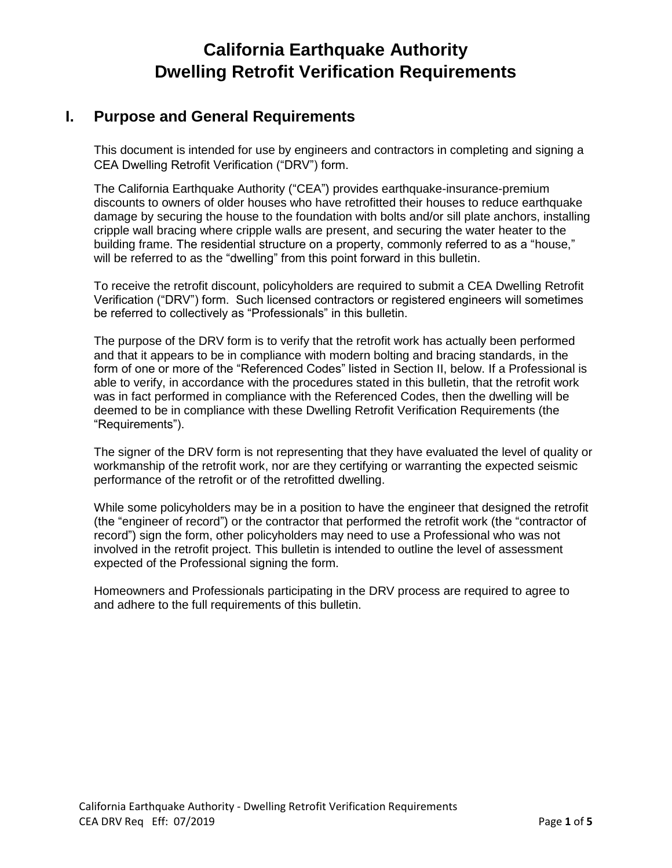## **I. Purpose and General Requirements**

This document is intended for use by engineers and contractors in completing and signing a CEA Dwelling Retrofit Verification ("DRV") form.

The California Earthquake Authority ("CEA") provides earthquake-insurance-premium discounts to owners of older houses who have retrofitted their houses to reduce earthquake damage by securing the house to the foundation with bolts and/or sill plate anchors, installing cripple wall bracing where cripple walls are present, and securing the water heater to the building frame. The residential structure on a property, commonly referred to as a "house," will be referred to as the "dwelling" from this point forward in this bulletin.

To receive the retrofit discount, policyholders are required to submit a CEA Dwelling Retrofit Verification ("DRV") form. Such licensed contractors or registered engineers will sometimes be referred to collectively as "Professionals" in this bulletin.

The purpose of the DRV form is to verify that the retrofit work has actually been performed and that it appears to be in compliance with modern bolting and bracing standards, in the form of one or more of the "Referenced Codes" listed in Section II, below. If a Professional is able to verify, in accordance with the procedures stated in this bulletin, that the retrofit work was in fact performed in compliance with the Referenced Codes, then the dwelling will be deemed to be in compliance with these Dwelling Retrofit Verification Requirements (the "Requirements").

The signer of the DRV form is not representing that they have evaluated the level of quality or workmanship of the retrofit work, nor are they certifying or warranting the expected seismic performance of the retrofit or of the retrofitted dwelling.

While some policyholders may be in a position to have the engineer that designed the retrofit (the "engineer of record") or the contractor that performed the retrofit work (the "contractor of record") sign the form, other policyholders may need to use a Professional who was not involved in the retrofit project. This bulletin is intended to outline the level of assessment expected of the Professional signing the form.

Homeowners and Professionals participating in the DRV process are required to agree to and adhere to the full requirements of this bulletin.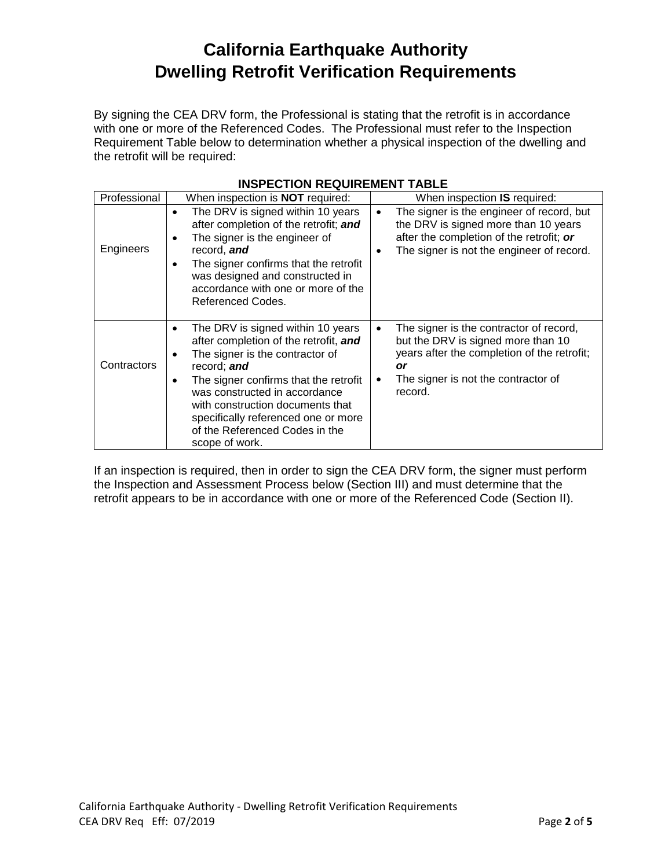By signing the CEA DRV form, the Professional is stating that the retrofit is in accordance with one or more of the Referenced Codes. The Professional must refer to the Inspection Requirement Table below to determination whether a physical inspection of the dwelling and the retrofit will be required:

| Professional | When inspection is <b>NOT</b> required:                                                                                                                                                                                                                                                                                               | When inspection IS required:                                                                                                                                                            |
|--------------|---------------------------------------------------------------------------------------------------------------------------------------------------------------------------------------------------------------------------------------------------------------------------------------------------------------------------------------|-----------------------------------------------------------------------------------------------------------------------------------------------------------------------------------------|
| Engineers    | The DRV is signed within 10 years<br>after completion of the retrofit; and<br>The signer is the engineer of<br>$\bullet$<br>record, and<br>The signer confirms that the retrofit<br>was designed and constructed in<br>accordance with one or more of the<br>Referenced Codes.                                                        | The signer is the engineer of record, but<br>$\bullet$<br>the DRV is signed more than 10 years<br>after the completion of the retrofit; or<br>The signer is not the engineer of record. |
| Contractors  | The DRV is signed within 10 years<br>after completion of the retrofit, and<br>The signer is the contractor of<br>record; and<br>The signer confirms that the retrofit<br>was constructed in accordance<br>with construction documents that<br>specifically referenced one or more<br>of the Referenced Codes in the<br>scope of work. | The signer is the contractor of record,<br>but the DRV is signed more than 10<br>years after the completion of the retrofit;<br>or<br>The signer is not the contractor of<br>record.    |

### **INSPECTION REQUIREMENT TABLE**

If an inspection is required, then in order to sign the CEA DRV form, the signer must perform the Inspection and Assessment Process below (Section III) and must determine that the retrofit appears to be in accordance with one or more of the Referenced Code (Section II).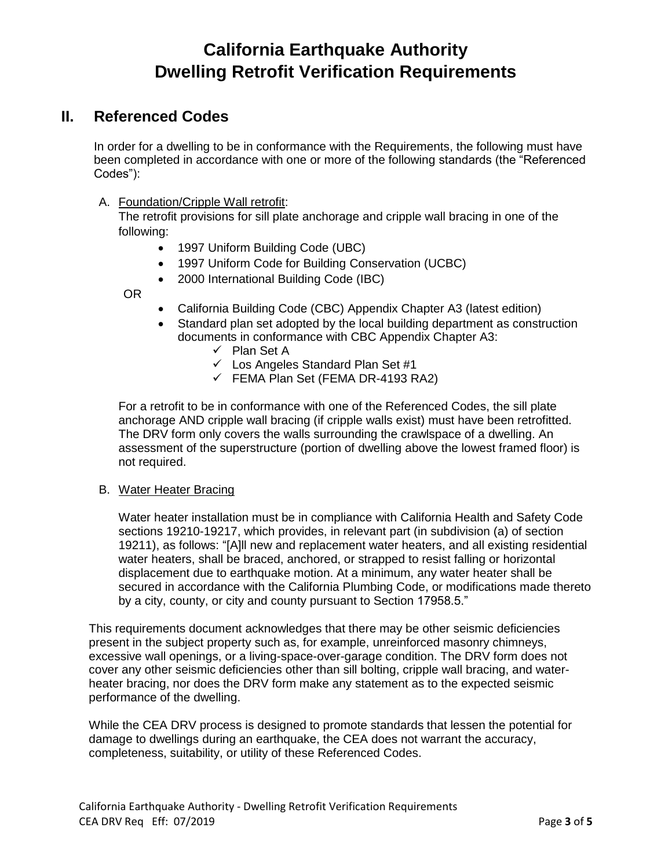## **II. Referenced Codes**

In order for a dwelling to be in conformance with the Requirements, the following must have been completed in accordance with one or more of the following standards (the "Referenced Codes"):

### A. Foundation/Cripple Wall retrofit:

The retrofit provisions for sill plate anchorage and cripple wall bracing in one of the following:

- 1997 Uniform Building Code (UBC)
- 1997 Uniform Code for Building Conservation (UCBC)
- 2000 International Building Code (IBC)

OR

- California Building Code (CBC) Appendix Chapter A3 (latest edition)
- Standard plan set adopted by the local building department as construction documents in conformance with CBC Appendix Chapter A3:
	- ✓ Plan Set A
	- ✓ Los Angeles Standard Plan Set #1
	- $\checkmark$  FEMA Plan Set (FEMA DR-4193 RA2)

For a retrofit to be in conformance with one of the Referenced Codes, the sill plate anchorage AND cripple wall bracing (if cripple walls exist) must have been retrofitted. The DRV form only covers the walls surrounding the crawlspace of a dwelling. An assessment of the superstructure (portion of dwelling above the lowest framed floor) is not required.

#### B. Water Heater Bracing

Water heater installation must be in compliance with California Health and Safety Code sections 19210-19217, which provides, in relevant part (in subdivision (a) of section 19211), as follows: "[A]ll new and replacement water heaters, and all existing residential water heaters, shall be braced, anchored, or strapped to resist falling or horizontal displacement due to earthquake motion. At a minimum, any water heater shall be secured in accordance with the California Plumbing Code, or modifications made thereto by a city, county, or city and county pursuant to Section 17958.5."

This requirements document acknowledges that there may be other seismic deficiencies present in the subject property such as, for example, unreinforced masonry chimneys, excessive wall openings, or a living-space-over-garage condition. The DRV form does not cover any other seismic deficiencies other than sill bolting, cripple wall bracing, and waterheater bracing, nor does the DRV form make any statement as to the expected seismic performance of the dwelling.

While the CEA DRV process is designed to promote standards that lessen the potential for damage to dwellings during an earthquake, the CEA does not warrant the accuracy, completeness, suitability, or utility of these Referenced Codes.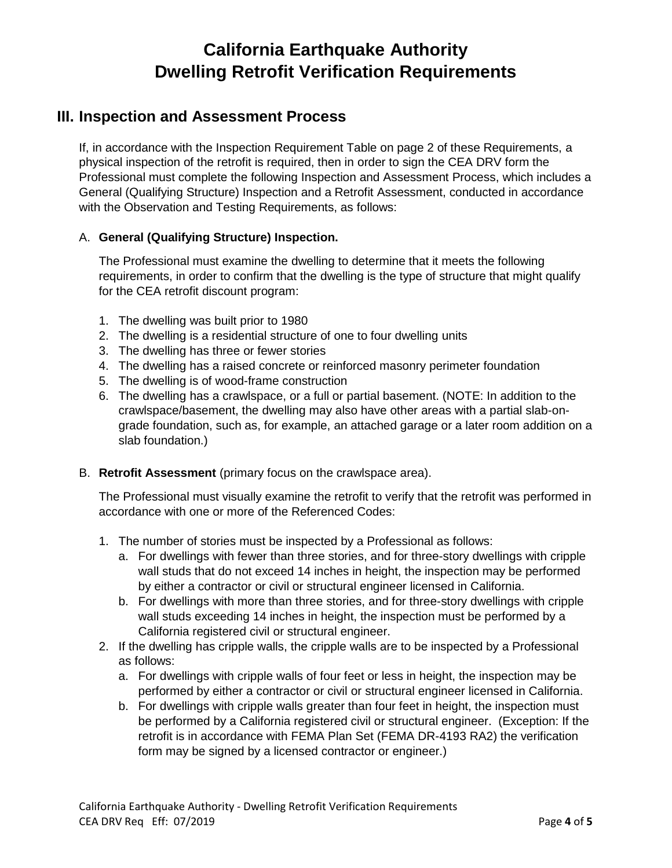## **III. Inspection and Assessment Process**

If, in accordance with the Inspection Requirement Table on page 2 of these Requirements, a physical inspection of the retrofit is required, then in order to sign the CEA DRV form the Professional must complete the following Inspection and Assessment Process, which includes a General (Qualifying Structure) Inspection and a Retrofit Assessment, conducted in accordance with the Observation and Testing Requirements, as follows:

### A. **General (Qualifying Structure) Inspection.**

The Professional must examine the dwelling to determine that it meets the following requirements, in order to confirm that the dwelling is the type of structure that might qualify for the CEA retrofit discount program:

- 1. The dwelling was built prior to 1980
- 2. The dwelling is a residential structure of one to four dwelling units
- 3. The dwelling has three or fewer stories
- 4. The dwelling has a raised concrete or reinforced masonry perimeter foundation
- 5. The dwelling is of wood-frame construction
- 6. The dwelling has a crawlspace, or a full or partial basement. (NOTE: In addition to the crawlspace/basement, the dwelling may also have other areas with a partial slab-ongrade foundation, such as, for example, an attached garage or a later room addition on a slab foundation.)
- B. **Retrofit Assessment** (primary focus on the crawlspace area).

The Professional must visually examine the retrofit to verify that the retrofit was performed in accordance with one or more of the Referenced Codes:

- 1. The number of stories must be inspected by a Professional as follows:
	- a. For dwellings with fewer than three stories, and for three-story dwellings with cripple wall studs that do not exceed 14 inches in height, the inspection may be performed by either a contractor or civil or structural engineer licensed in California.
	- b. For dwellings with more than three stories, and for three-story dwellings with cripple wall studs exceeding 14 inches in height, the inspection must be performed by a California registered civil or structural engineer.
- 2. If the dwelling has cripple walls, the cripple walls are to be inspected by a Professional as follows:
	- a. For dwellings with cripple walls of four feet or less in height, the inspection may be performed by either a contractor or civil or structural engineer licensed in California.
	- b. For dwellings with cripple walls greater than four feet in height, the inspection must be performed by a California registered civil or structural engineer. (Exception: If the retrofit is in accordance with FEMA Plan Set (FEMA DR-4193 RA2) the verification form may be signed by a licensed contractor or engineer.)